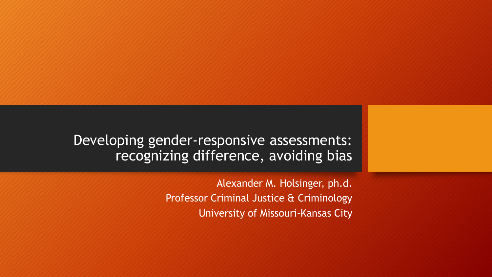Developing gender-responsive assessments: recognizing difference, avoiding bias

> Alexander M. Holsinger, ph.d. Professor Criminal Justice & Criminology University of Missouri-Kansas City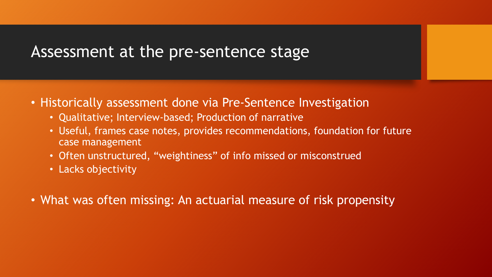# Assessment at the pre-sentence stage

- Historically assessment done via Pre-Sentence Investigation
	- Qualitative; Interview-based; Production of narrative
	- Useful, frames case notes, provides recommendations, foundation for future case management
	- Often unstructured, "weightiness" of info missed or misconstrued
	- Lacks objectivity
- What was often missing: An actuarial measure of risk propensity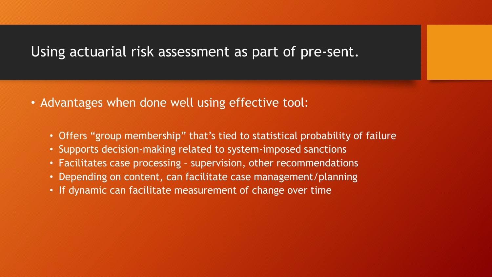#### Using actuarial risk assessment as part of pre-sent.

- Advantages when done well using effective tool:
	- Offers "group membership" that's tied to statistical probability of failure
	- Supports decision-making related to system-imposed sanctions
	- Facilitates case processing supervision, other recommendations
	- Depending on content, can facilitate case management/planning
	- If dynamic can facilitate measurement of change over time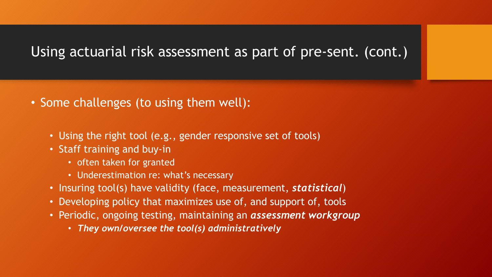## Using actuarial risk assessment as part of pre-sent. (cont.)

- Some challenges (to using them well):
	- Using the right tool (e.g., gender responsive set of tools)
	- Staff training and buy-in
		- often taken for granted
		- Underestimation re: what's necessary
	- Insuring tool(s) have validity (face, measurement, *statistical*)
	- Developing policy that maximizes use of, and support of, tools
	- Periodic, ongoing testing, maintaining an *assessment workgroup*
		- *They own/oversee the tool(s) administratively*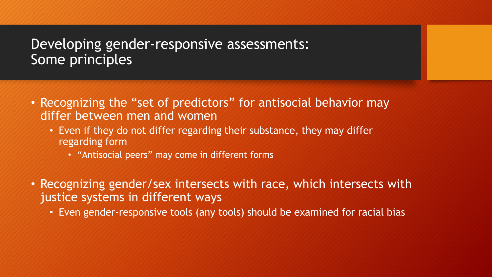### Developing gender-responsive assessments: Some principles

- Recognizing the "set of predictors" for antisocial behavior may differ between men and women
	- Even if they do not differ regarding their substance, they may differ regarding form
		- "Antisocial peers" may come in different forms
- Recognizing gender/sex intersects with race, which intersects with justice systems in different ways
	- Even gender-responsive tools (any tools) should be examined for racial bias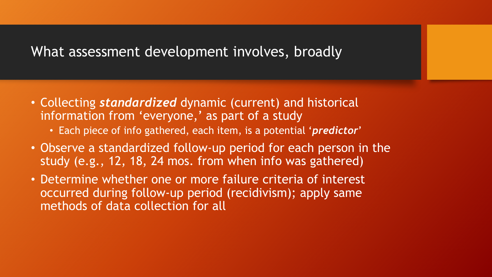### What assessment development involves, broadly

- Collecting *standardized* dynamic (current) and historical information from 'everyone,' as part of a study
	- Each piece of info gathered, each item, is a potential '*predictor*'
- Observe a standardized follow-up period for each person in the study (e.g., 12, 18, 24 mos. from when info was gathered)
- Determine whether one or more failure criteria of interest occurred during follow-up period (recidivism); apply same methods of data collection for all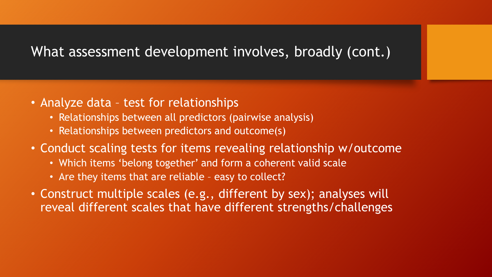### What assessment development involves, broadly (cont.)

- Analyze data test for relationships
	- Relationships between all predictors (pairwise analysis)
	- Relationships between predictors and outcome(s)
- Conduct scaling tests for items revealing relationship w/outcome
	- Which items 'belong together' and form a coherent valid scale
	- Are they items that are reliable easy to collect?
- Construct multiple scales (e.g., different by sex); analyses will reveal different scales that have different strengths/challenges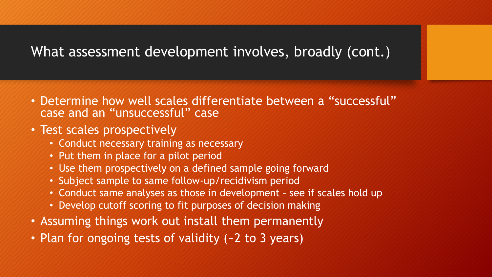# What assessment development involves, broadly (cont.)

- Determine how well scales differentiate between a "successful" case and an "unsuccessful" case
- Test scales prospectively
	- Conduct necessary training as necessary
	- Put them in place for a pilot period
	- Use them prospectively on a defined sample going forward
	- Subject sample to same follow-up/recidivism period
	- Conduct same analyses as those in development see if scales hold up
	- Develop cutoff scoring to fit purposes of decision making
- Assuming things work out install them permanently
- Plan for ongoing tests of validity (~2 to 3 years)